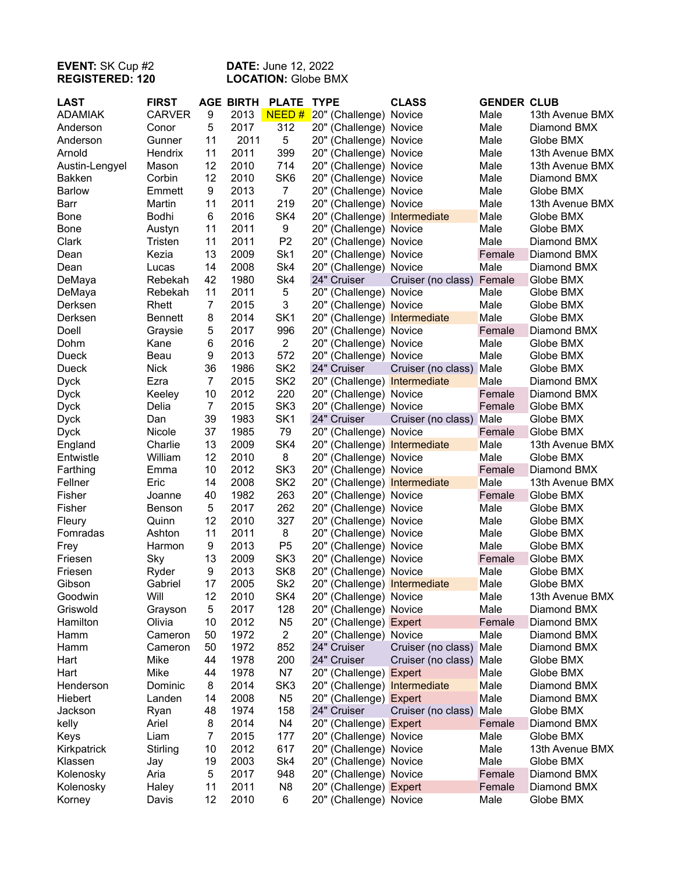## **EVENT:** SK Cup #2 **DATE:** June 12, 2022 **REGISTERED: 120 LOCATION:** Globe BMX

| NEED#<br><b>CARVER</b><br>9<br>2013<br><b>ADAMIAK</b><br>20" (Challenge) Novice<br>Male<br>13th Avenue BMX<br>5<br>2017<br>312<br>Anderson<br>20" (Challenge) Novice<br>Male<br>Diamond BMX<br>Conor<br>2011<br>5<br>11<br>20" (Challenge) Novice<br>Male<br>Globe BMX<br>Anderson<br>Gunner<br>11<br>2011<br>399<br>Hendrix<br>20" (Challenge) Novice<br>Male<br>13th Avenue BMX<br>Arnold<br>12<br>2010<br>714<br>20" (Challenge) Novice<br>Male<br>13th Avenue BMX<br>Austin-Lengyel<br>Mason<br>Corbin<br>12<br>2010<br>SK <sub>6</sub><br><b>Bakken</b><br>20" (Challenge) Novice<br>Male<br>Diamond BMX<br>2013<br>$\overline{7}$<br><b>Barlow</b><br>Emmett<br>9<br>20" (Challenge) Novice<br>Male<br>Globe BMX<br>11<br>2011<br>219<br>Martin<br>20" (Challenge) Novice<br>Male<br>13th Avenue BMX<br>Barr<br>6<br>2016<br>SK4<br>Bodhi<br>20" (Challenge) Intermediate<br>Male<br>Globe BMX<br><b>Bone</b><br>11<br>2011<br>9<br>Male<br>20" (Challenge) Novice<br>Globe BMX<br><b>Bone</b><br>Austyn<br>11<br>2011<br>P <sub>2</sub><br>Male<br>Clark<br>Tristen<br>20" (Challenge) Novice<br>Diamond BMX<br>13<br>2009<br>Sk1<br>20" (Challenge) Novice<br>Female<br>Dean<br>Kezia<br>Diamond BMX<br>2008<br>Sk4<br>14<br>20" (Challenge) Novice<br>Male<br>Diamond BMX<br>Dean<br>Lucas<br>42<br>1980<br>Sk4<br>DeMaya<br>24" Cruiser<br>Female<br>Globe BMX<br>Rebekah<br>Cruiser (no class)<br>11<br>2011<br>5<br>20" (Challenge) Novice<br>DeMaya<br>Male<br>Rebekah<br>Globe BMX<br>$\overline{7}$<br>3<br>Male<br>Derksen<br>Rhett<br>2015<br>20" (Challenge) Novice<br>Globe BMX<br>Male<br>Derksen<br>8<br>2014<br>SK <sub>1</sub><br>20" (Challenge) Intermediate<br>Globe BMX<br><b>Bennett</b><br>5<br>2017<br>996<br>Doell<br>20" (Challenge) Novice<br>Female<br>Diamond BMX<br>Graysie<br>2016<br>$\overline{2}$<br>Dohm<br>Kane<br>6<br>20" (Challenge) Novice<br>Male<br>Globe BMX<br>2013<br>572<br>Dueck<br>Beau<br>9<br>Male<br>Globe BMX<br>20" (Challenge) Novice<br>SK <sub>2</sub><br>1986<br>24" Cruiser<br>Dueck<br><b>Nick</b><br>36<br>Cruiser (no class)<br>Male<br>Globe BMX<br>SK <sub>2</sub><br>2015<br><b>Dyck</b><br>Ezra<br>$\overline{7}$<br>20" (Challenge) Intermediate<br>Male<br>Diamond BMX<br>2012<br>220<br>Keeley<br>10<br>20" (Challenge) Novice<br>Female<br>Diamond BMX<br><b>Dyck</b><br>SK <sub>3</sub><br>$\overline{7}$<br>2015<br>Delia<br>20" (Challenge) Novice<br>Female<br>Globe BMX<br><b>Dyck</b><br>1983<br>SK <sub>1</sub><br>24" Cruiser<br>Dan<br>39<br>Male<br>Globe BMX<br><b>Dyck</b><br>Cruiser (no class)<br>37<br>1985<br>79<br>Nicole<br>20" (Challenge) Novice<br>Female<br>Globe BMX<br><b>Dyck</b><br>13<br>SK4<br>2009<br>Male<br>Charlie<br>20" (Challenge) Intermediate<br>13th Avenue BMX<br>England<br>12<br>2010<br>8<br>Male<br>William<br>20" (Challenge) Novice<br>Globe BMX<br>Entwistle<br>10<br>2012<br>SK <sub>3</sub><br>Farthing<br>20" (Challenge) Novice<br>Female<br>Diamond BMX<br>Emma<br>Fellner<br>2008<br>SK <sub>2</sub><br>Male<br>Eric<br>14<br>20" (Challenge) Intermediate<br>13th Avenue BMX<br>1982<br>263<br>Fisher<br>40<br>Female<br>Joanne<br>20" (Challenge) Novice<br>Globe BMX<br>5<br>2017<br>262<br>Fisher<br>20" (Challenge) Novice<br>Male<br>Benson<br>Globe BMX<br>327<br>12<br>2010<br>20" (Challenge) Novice<br>Male<br>Fleury<br>Quinn<br>Globe BMX<br>11<br>2011<br>8<br>Fomradas<br>Ashton<br>Male<br>20" (Challenge) Novice<br>Globe BMX<br>9<br>2013<br>P <sub>5</sub><br>20" (Challenge) Novice<br>Male<br>Globe BMX<br>Frey<br>Harmon<br>SK <sub>3</sub><br>13<br>2009<br>Friesen<br>Sky<br>20" (Challenge) Novice<br>Female<br>Globe BMX<br>9<br>2013<br>SK <sub>8</sub><br>Male<br>Friesen<br>Ryder<br>20" (Challenge) Novice<br>Globe BMX<br>Sk <sub>2</sub><br>17<br>2005<br>20" (Challenge) Intermediate<br>Gibson<br>Gabriel<br>Male<br>Globe BMX<br>Will<br>12<br>SK4<br>Goodwin<br>2010<br>20" (Challenge) Novice<br>Male<br>13th Avenue BMX<br>5<br>2017<br>Male<br>Griswold<br>128<br>20" (Challenge) Novice<br>Diamond BMX<br>Grayson<br>Olivia<br>2012<br>Hamilton<br>10<br>N <sub>5</sub><br>20" (Challenge) Expert<br>Female<br>Diamond BMX<br>1972<br>$\overline{2}$<br>Cameron<br>50<br>20" (Challenge) Novice<br>Male<br>Diamond BMX<br>Hamm<br>1972<br>Hamm<br>50<br>852<br>24" Cruiser<br>Cruiser (no class)<br>Male<br>Diamond BMX<br>Cameron<br>1978<br>200<br>Hart<br>Mike<br>44<br>24" Cruiser<br>Cruiser (no class)<br>Male<br>Globe BMX<br>1978<br>N7<br>Hart<br>Mike<br>44<br>20" (Challenge) Expert<br>Male<br>Globe BMX<br>2014<br>SK <sub>3</sub><br>Henderson<br>Dominic<br>8<br>20" (Challenge) Intermediate<br>Male<br>Diamond BMX<br>2008<br>Male<br>Hiebert<br>Landen<br>14<br>N <sub>5</sub><br>20" (Challenge) Expert<br>Diamond BMX<br>1974<br>24" Cruiser<br>Jackson<br>48<br>158<br>Cruiser (no class)<br>Male<br>Globe BMX<br>Ryan<br>2014<br>kelly<br>Ariel<br>8<br>N4<br>20" (Challenge) Expert<br>Female<br>Diamond BMX<br>$\overline{7}$<br>2015<br>Liam<br>177<br>20" (Challenge) Novice<br>Male<br>Globe BMX<br>Keys<br>2012<br>617<br>Kirkpatrick<br>Stirling<br>10<br>20" (Challenge) Novice<br>Male<br>13th Avenue BMX<br>2003<br>Sk4<br>19<br>20" (Challenge) Novice<br>Male<br>Globe BMX<br>Klassen<br>Jay<br>5<br>2017<br>Kolenosky<br>Aria<br>948<br>20" (Challenge) Novice<br>Female<br>Diamond BMX | <b>LAST</b> | <b>FIRST</b> |    | <b>AGE BIRTH</b> | <b>PLATE</b>   | <b>TYPE</b>            | <b>CLASS</b> | <b>GENDER CLUB</b> |             |
|--------------------------------------------------------------------------------------------------------------------------------------------------------------------------------------------------------------------------------------------------------------------------------------------------------------------------------------------------------------------------------------------------------------------------------------------------------------------------------------------------------------------------------------------------------------------------------------------------------------------------------------------------------------------------------------------------------------------------------------------------------------------------------------------------------------------------------------------------------------------------------------------------------------------------------------------------------------------------------------------------------------------------------------------------------------------------------------------------------------------------------------------------------------------------------------------------------------------------------------------------------------------------------------------------------------------------------------------------------------------------------------------------------------------------------------------------------------------------------------------------------------------------------------------------------------------------------------------------------------------------------------------------------------------------------------------------------------------------------------------------------------------------------------------------------------------------------------------------------------------------------------------------------------------------------------------------------------------------------------------------------------------------------------------------------------------------------------------------------------------------------------------------------------------------------------------------------------------------------------------------------------------------------------------------------------------------------------------------------------------------------------------------------------------------------------------------------------------------------------------------------------------------------------------------------------------------------------------------------------------------------------------------------------------------------------------------------------------------------------------------------------------------------------------------------------------------------------------------------------------------------------------------------------------------------------------------------------------------------------------------------------------------------------------------------------------------------------------------------------------------------------------------------------------------------------------------------------------------------------------------------------------------------------------------------------------------------------------------------------------------------------------------------------------------------------------------------------------------------------------------------------------------------------------------------------------------------------------------------------------------------------------------------------------------------------------------------------------------------------------------------------------------------------------------------------------------------------------------------------------------------------------------------------------------------------------------------------------------------------------------------------------------------------------------------------------------------------------------------------------------------------------------------------------------------------------------------------------------------------------------------------------------------------------------------------------------------------------------------------------------------------------------------------------------------------------------------------------------------------------------------------------------------------------------------------------------------------------------------------------------------------------------------------------------------------------------------------------------------------------------------------------------------------------------------------------------------------------------------------------------------------------------------------------------------------------------------------------------------------------------------------------------------------------------------------------------------------------------------------------------------------------------------------------------------------------------------------------------------------------------------------------------------------------------------------------------------------------------------------------------------------------------|-------------|--------------|----|------------------|----------------|------------------------|--------------|--------------------|-------------|
|                                                                                                                                                                                                                                                                                                                                                                                                                                                                                                                                                                                                                                                                                                                                                                                                                                                                                                                                                                                                                                                                                                                                                                                                                                                                                                                                                                                                                                                                                                                                                                                                                                                                                                                                                                                                                                                                                                                                                                                                                                                                                                                                                                                                                                                                                                                                                                                                                                                                                                                                                                                                                                                                                                                                                                                                                                                                                                                                                                                                                                                                                                                                                                                                                                                                                                                                                                                                                                                                                                                                                                                                                                                                                                                                                                                                                                                                                                                                                                                                                                                                                                                                                                                                                                                                                                                                                                                                                                                                                                                                                                                                                                                                                                                                                                                                                                                                                                                                                                                                                                                                                                                                                                                                                                                                                                                                                                                                  |             |              |    |                  |                |                        |              |                    |             |
|                                                                                                                                                                                                                                                                                                                                                                                                                                                                                                                                                                                                                                                                                                                                                                                                                                                                                                                                                                                                                                                                                                                                                                                                                                                                                                                                                                                                                                                                                                                                                                                                                                                                                                                                                                                                                                                                                                                                                                                                                                                                                                                                                                                                                                                                                                                                                                                                                                                                                                                                                                                                                                                                                                                                                                                                                                                                                                                                                                                                                                                                                                                                                                                                                                                                                                                                                                                                                                                                                                                                                                                                                                                                                                                                                                                                                                                                                                                                                                                                                                                                                                                                                                                                                                                                                                                                                                                                                                                                                                                                                                                                                                                                                                                                                                                                                                                                                                                                                                                                                                                                                                                                                                                                                                                                                                                                                                                                  |             |              |    |                  |                |                        |              |                    |             |
|                                                                                                                                                                                                                                                                                                                                                                                                                                                                                                                                                                                                                                                                                                                                                                                                                                                                                                                                                                                                                                                                                                                                                                                                                                                                                                                                                                                                                                                                                                                                                                                                                                                                                                                                                                                                                                                                                                                                                                                                                                                                                                                                                                                                                                                                                                                                                                                                                                                                                                                                                                                                                                                                                                                                                                                                                                                                                                                                                                                                                                                                                                                                                                                                                                                                                                                                                                                                                                                                                                                                                                                                                                                                                                                                                                                                                                                                                                                                                                                                                                                                                                                                                                                                                                                                                                                                                                                                                                                                                                                                                                                                                                                                                                                                                                                                                                                                                                                                                                                                                                                                                                                                                                                                                                                                                                                                                                                                  |             |              |    |                  |                |                        |              |                    |             |
|                                                                                                                                                                                                                                                                                                                                                                                                                                                                                                                                                                                                                                                                                                                                                                                                                                                                                                                                                                                                                                                                                                                                                                                                                                                                                                                                                                                                                                                                                                                                                                                                                                                                                                                                                                                                                                                                                                                                                                                                                                                                                                                                                                                                                                                                                                                                                                                                                                                                                                                                                                                                                                                                                                                                                                                                                                                                                                                                                                                                                                                                                                                                                                                                                                                                                                                                                                                                                                                                                                                                                                                                                                                                                                                                                                                                                                                                                                                                                                                                                                                                                                                                                                                                                                                                                                                                                                                                                                                                                                                                                                                                                                                                                                                                                                                                                                                                                                                                                                                                                                                                                                                                                                                                                                                                                                                                                                                                  |             |              |    |                  |                |                        |              |                    |             |
|                                                                                                                                                                                                                                                                                                                                                                                                                                                                                                                                                                                                                                                                                                                                                                                                                                                                                                                                                                                                                                                                                                                                                                                                                                                                                                                                                                                                                                                                                                                                                                                                                                                                                                                                                                                                                                                                                                                                                                                                                                                                                                                                                                                                                                                                                                                                                                                                                                                                                                                                                                                                                                                                                                                                                                                                                                                                                                                                                                                                                                                                                                                                                                                                                                                                                                                                                                                                                                                                                                                                                                                                                                                                                                                                                                                                                                                                                                                                                                                                                                                                                                                                                                                                                                                                                                                                                                                                                                                                                                                                                                                                                                                                                                                                                                                                                                                                                                                                                                                                                                                                                                                                                                                                                                                                                                                                                                                                  |             |              |    |                  |                |                        |              |                    |             |
|                                                                                                                                                                                                                                                                                                                                                                                                                                                                                                                                                                                                                                                                                                                                                                                                                                                                                                                                                                                                                                                                                                                                                                                                                                                                                                                                                                                                                                                                                                                                                                                                                                                                                                                                                                                                                                                                                                                                                                                                                                                                                                                                                                                                                                                                                                                                                                                                                                                                                                                                                                                                                                                                                                                                                                                                                                                                                                                                                                                                                                                                                                                                                                                                                                                                                                                                                                                                                                                                                                                                                                                                                                                                                                                                                                                                                                                                                                                                                                                                                                                                                                                                                                                                                                                                                                                                                                                                                                                                                                                                                                                                                                                                                                                                                                                                                                                                                                                                                                                                                                                                                                                                                                                                                                                                                                                                                                                                  |             |              |    |                  |                |                        |              |                    |             |
|                                                                                                                                                                                                                                                                                                                                                                                                                                                                                                                                                                                                                                                                                                                                                                                                                                                                                                                                                                                                                                                                                                                                                                                                                                                                                                                                                                                                                                                                                                                                                                                                                                                                                                                                                                                                                                                                                                                                                                                                                                                                                                                                                                                                                                                                                                                                                                                                                                                                                                                                                                                                                                                                                                                                                                                                                                                                                                                                                                                                                                                                                                                                                                                                                                                                                                                                                                                                                                                                                                                                                                                                                                                                                                                                                                                                                                                                                                                                                                                                                                                                                                                                                                                                                                                                                                                                                                                                                                                                                                                                                                                                                                                                                                                                                                                                                                                                                                                                                                                                                                                                                                                                                                                                                                                                                                                                                                                                  |             |              |    |                  |                |                        |              |                    |             |
|                                                                                                                                                                                                                                                                                                                                                                                                                                                                                                                                                                                                                                                                                                                                                                                                                                                                                                                                                                                                                                                                                                                                                                                                                                                                                                                                                                                                                                                                                                                                                                                                                                                                                                                                                                                                                                                                                                                                                                                                                                                                                                                                                                                                                                                                                                                                                                                                                                                                                                                                                                                                                                                                                                                                                                                                                                                                                                                                                                                                                                                                                                                                                                                                                                                                                                                                                                                                                                                                                                                                                                                                                                                                                                                                                                                                                                                                                                                                                                                                                                                                                                                                                                                                                                                                                                                                                                                                                                                                                                                                                                                                                                                                                                                                                                                                                                                                                                                                                                                                                                                                                                                                                                                                                                                                                                                                                                                                  |             |              |    |                  |                |                        |              |                    |             |
|                                                                                                                                                                                                                                                                                                                                                                                                                                                                                                                                                                                                                                                                                                                                                                                                                                                                                                                                                                                                                                                                                                                                                                                                                                                                                                                                                                                                                                                                                                                                                                                                                                                                                                                                                                                                                                                                                                                                                                                                                                                                                                                                                                                                                                                                                                                                                                                                                                                                                                                                                                                                                                                                                                                                                                                                                                                                                                                                                                                                                                                                                                                                                                                                                                                                                                                                                                                                                                                                                                                                                                                                                                                                                                                                                                                                                                                                                                                                                                                                                                                                                                                                                                                                                                                                                                                                                                                                                                                                                                                                                                                                                                                                                                                                                                                                                                                                                                                                                                                                                                                                                                                                                                                                                                                                                                                                                                                                  |             |              |    |                  |                |                        |              |                    |             |
|                                                                                                                                                                                                                                                                                                                                                                                                                                                                                                                                                                                                                                                                                                                                                                                                                                                                                                                                                                                                                                                                                                                                                                                                                                                                                                                                                                                                                                                                                                                                                                                                                                                                                                                                                                                                                                                                                                                                                                                                                                                                                                                                                                                                                                                                                                                                                                                                                                                                                                                                                                                                                                                                                                                                                                                                                                                                                                                                                                                                                                                                                                                                                                                                                                                                                                                                                                                                                                                                                                                                                                                                                                                                                                                                                                                                                                                                                                                                                                                                                                                                                                                                                                                                                                                                                                                                                                                                                                                                                                                                                                                                                                                                                                                                                                                                                                                                                                                                                                                                                                                                                                                                                                                                                                                                                                                                                                                                  |             |              |    |                  |                |                        |              |                    |             |
|                                                                                                                                                                                                                                                                                                                                                                                                                                                                                                                                                                                                                                                                                                                                                                                                                                                                                                                                                                                                                                                                                                                                                                                                                                                                                                                                                                                                                                                                                                                                                                                                                                                                                                                                                                                                                                                                                                                                                                                                                                                                                                                                                                                                                                                                                                                                                                                                                                                                                                                                                                                                                                                                                                                                                                                                                                                                                                                                                                                                                                                                                                                                                                                                                                                                                                                                                                                                                                                                                                                                                                                                                                                                                                                                                                                                                                                                                                                                                                                                                                                                                                                                                                                                                                                                                                                                                                                                                                                                                                                                                                                                                                                                                                                                                                                                                                                                                                                                                                                                                                                                                                                                                                                                                                                                                                                                                                                                  |             |              |    |                  |                |                        |              |                    |             |
|                                                                                                                                                                                                                                                                                                                                                                                                                                                                                                                                                                                                                                                                                                                                                                                                                                                                                                                                                                                                                                                                                                                                                                                                                                                                                                                                                                                                                                                                                                                                                                                                                                                                                                                                                                                                                                                                                                                                                                                                                                                                                                                                                                                                                                                                                                                                                                                                                                                                                                                                                                                                                                                                                                                                                                                                                                                                                                                                                                                                                                                                                                                                                                                                                                                                                                                                                                                                                                                                                                                                                                                                                                                                                                                                                                                                                                                                                                                                                                                                                                                                                                                                                                                                                                                                                                                                                                                                                                                                                                                                                                                                                                                                                                                                                                                                                                                                                                                                                                                                                                                                                                                                                                                                                                                                                                                                                                                                  |             |              |    |                  |                |                        |              |                    |             |
|                                                                                                                                                                                                                                                                                                                                                                                                                                                                                                                                                                                                                                                                                                                                                                                                                                                                                                                                                                                                                                                                                                                                                                                                                                                                                                                                                                                                                                                                                                                                                                                                                                                                                                                                                                                                                                                                                                                                                                                                                                                                                                                                                                                                                                                                                                                                                                                                                                                                                                                                                                                                                                                                                                                                                                                                                                                                                                                                                                                                                                                                                                                                                                                                                                                                                                                                                                                                                                                                                                                                                                                                                                                                                                                                                                                                                                                                                                                                                                                                                                                                                                                                                                                                                                                                                                                                                                                                                                                                                                                                                                                                                                                                                                                                                                                                                                                                                                                                                                                                                                                                                                                                                                                                                                                                                                                                                                                                  |             |              |    |                  |                |                        |              |                    |             |
|                                                                                                                                                                                                                                                                                                                                                                                                                                                                                                                                                                                                                                                                                                                                                                                                                                                                                                                                                                                                                                                                                                                                                                                                                                                                                                                                                                                                                                                                                                                                                                                                                                                                                                                                                                                                                                                                                                                                                                                                                                                                                                                                                                                                                                                                                                                                                                                                                                                                                                                                                                                                                                                                                                                                                                                                                                                                                                                                                                                                                                                                                                                                                                                                                                                                                                                                                                                                                                                                                                                                                                                                                                                                                                                                                                                                                                                                                                                                                                                                                                                                                                                                                                                                                                                                                                                                                                                                                                                                                                                                                                                                                                                                                                                                                                                                                                                                                                                                                                                                                                                                                                                                                                                                                                                                                                                                                                                                  |             |              |    |                  |                |                        |              |                    |             |
|                                                                                                                                                                                                                                                                                                                                                                                                                                                                                                                                                                                                                                                                                                                                                                                                                                                                                                                                                                                                                                                                                                                                                                                                                                                                                                                                                                                                                                                                                                                                                                                                                                                                                                                                                                                                                                                                                                                                                                                                                                                                                                                                                                                                                                                                                                                                                                                                                                                                                                                                                                                                                                                                                                                                                                                                                                                                                                                                                                                                                                                                                                                                                                                                                                                                                                                                                                                                                                                                                                                                                                                                                                                                                                                                                                                                                                                                                                                                                                                                                                                                                                                                                                                                                                                                                                                                                                                                                                                                                                                                                                                                                                                                                                                                                                                                                                                                                                                                                                                                                                                                                                                                                                                                                                                                                                                                                                                                  |             |              |    |                  |                |                        |              |                    |             |
|                                                                                                                                                                                                                                                                                                                                                                                                                                                                                                                                                                                                                                                                                                                                                                                                                                                                                                                                                                                                                                                                                                                                                                                                                                                                                                                                                                                                                                                                                                                                                                                                                                                                                                                                                                                                                                                                                                                                                                                                                                                                                                                                                                                                                                                                                                                                                                                                                                                                                                                                                                                                                                                                                                                                                                                                                                                                                                                                                                                                                                                                                                                                                                                                                                                                                                                                                                                                                                                                                                                                                                                                                                                                                                                                                                                                                                                                                                                                                                                                                                                                                                                                                                                                                                                                                                                                                                                                                                                                                                                                                                                                                                                                                                                                                                                                                                                                                                                                                                                                                                                                                                                                                                                                                                                                                                                                                                                                  |             |              |    |                  |                |                        |              |                    |             |
|                                                                                                                                                                                                                                                                                                                                                                                                                                                                                                                                                                                                                                                                                                                                                                                                                                                                                                                                                                                                                                                                                                                                                                                                                                                                                                                                                                                                                                                                                                                                                                                                                                                                                                                                                                                                                                                                                                                                                                                                                                                                                                                                                                                                                                                                                                                                                                                                                                                                                                                                                                                                                                                                                                                                                                                                                                                                                                                                                                                                                                                                                                                                                                                                                                                                                                                                                                                                                                                                                                                                                                                                                                                                                                                                                                                                                                                                                                                                                                                                                                                                                                                                                                                                                                                                                                                                                                                                                                                                                                                                                                                                                                                                                                                                                                                                                                                                                                                                                                                                                                                                                                                                                                                                                                                                                                                                                                                                  |             |              |    |                  |                |                        |              |                    |             |
|                                                                                                                                                                                                                                                                                                                                                                                                                                                                                                                                                                                                                                                                                                                                                                                                                                                                                                                                                                                                                                                                                                                                                                                                                                                                                                                                                                                                                                                                                                                                                                                                                                                                                                                                                                                                                                                                                                                                                                                                                                                                                                                                                                                                                                                                                                                                                                                                                                                                                                                                                                                                                                                                                                                                                                                                                                                                                                                                                                                                                                                                                                                                                                                                                                                                                                                                                                                                                                                                                                                                                                                                                                                                                                                                                                                                                                                                                                                                                                                                                                                                                                                                                                                                                                                                                                                                                                                                                                                                                                                                                                                                                                                                                                                                                                                                                                                                                                                                                                                                                                                                                                                                                                                                                                                                                                                                                                                                  |             |              |    |                  |                |                        |              |                    |             |
|                                                                                                                                                                                                                                                                                                                                                                                                                                                                                                                                                                                                                                                                                                                                                                                                                                                                                                                                                                                                                                                                                                                                                                                                                                                                                                                                                                                                                                                                                                                                                                                                                                                                                                                                                                                                                                                                                                                                                                                                                                                                                                                                                                                                                                                                                                                                                                                                                                                                                                                                                                                                                                                                                                                                                                                                                                                                                                                                                                                                                                                                                                                                                                                                                                                                                                                                                                                                                                                                                                                                                                                                                                                                                                                                                                                                                                                                                                                                                                                                                                                                                                                                                                                                                                                                                                                                                                                                                                                                                                                                                                                                                                                                                                                                                                                                                                                                                                                                                                                                                                                                                                                                                                                                                                                                                                                                                                                                  |             |              |    |                  |                |                        |              |                    |             |
|                                                                                                                                                                                                                                                                                                                                                                                                                                                                                                                                                                                                                                                                                                                                                                                                                                                                                                                                                                                                                                                                                                                                                                                                                                                                                                                                                                                                                                                                                                                                                                                                                                                                                                                                                                                                                                                                                                                                                                                                                                                                                                                                                                                                                                                                                                                                                                                                                                                                                                                                                                                                                                                                                                                                                                                                                                                                                                                                                                                                                                                                                                                                                                                                                                                                                                                                                                                                                                                                                                                                                                                                                                                                                                                                                                                                                                                                                                                                                                                                                                                                                                                                                                                                                                                                                                                                                                                                                                                                                                                                                                                                                                                                                                                                                                                                                                                                                                                                                                                                                                                                                                                                                                                                                                                                                                                                                                                                  |             |              |    |                  |                |                        |              |                    |             |
|                                                                                                                                                                                                                                                                                                                                                                                                                                                                                                                                                                                                                                                                                                                                                                                                                                                                                                                                                                                                                                                                                                                                                                                                                                                                                                                                                                                                                                                                                                                                                                                                                                                                                                                                                                                                                                                                                                                                                                                                                                                                                                                                                                                                                                                                                                                                                                                                                                                                                                                                                                                                                                                                                                                                                                                                                                                                                                                                                                                                                                                                                                                                                                                                                                                                                                                                                                                                                                                                                                                                                                                                                                                                                                                                                                                                                                                                                                                                                                                                                                                                                                                                                                                                                                                                                                                                                                                                                                                                                                                                                                                                                                                                                                                                                                                                                                                                                                                                                                                                                                                                                                                                                                                                                                                                                                                                                                                                  |             |              |    |                  |                |                        |              |                    |             |
|                                                                                                                                                                                                                                                                                                                                                                                                                                                                                                                                                                                                                                                                                                                                                                                                                                                                                                                                                                                                                                                                                                                                                                                                                                                                                                                                                                                                                                                                                                                                                                                                                                                                                                                                                                                                                                                                                                                                                                                                                                                                                                                                                                                                                                                                                                                                                                                                                                                                                                                                                                                                                                                                                                                                                                                                                                                                                                                                                                                                                                                                                                                                                                                                                                                                                                                                                                                                                                                                                                                                                                                                                                                                                                                                                                                                                                                                                                                                                                                                                                                                                                                                                                                                                                                                                                                                                                                                                                                                                                                                                                                                                                                                                                                                                                                                                                                                                                                                                                                                                                                                                                                                                                                                                                                                                                                                                                                                  |             |              |    |                  |                |                        |              |                    |             |
|                                                                                                                                                                                                                                                                                                                                                                                                                                                                                                                                                                                                                                                                                                                                                                                                                                                                                                                                                                                                                                                                                                                                                                                                                                                                                                                                                                                                                                                                                                                                                                                                                                                                                                                                                                                                                                                                                                                                                                                                                                                                                                                                                                                                                                                                                                                                                                                                                                                                                                                                                                                                                                                                                                                                                                                                                                                                                                                                                                                                                                                                                                                                                                                                                                                                                                                                                                                                                                                                                                                                                                                                                                                                                                                                                                                                                                                                                                                                                                                                                                                                                                                                                                                                                                                                                                                                                                                                                                                                                                                                                                                                                                                                                                                                                                                                                                                                                                                                                                                                                                                                                                                                                                                                                                                                                                                                                                                                  |             |              |    |                  |                |                        |              |                    |             |
|                                                                                                                                                                                                                                                                                                                                                                                                                                                                                                                                                                                                                                                                                                                                                                                                                                                                                                                                                                                                                                                                                                                                                                                                                                                                                                                                                                                                                                                                                                                                                                                                                                                                                                                                                                                                                                                                                                                                                                                                                                                                                                                                                                                                                                                                                                                                                                                                                                                                                                                                                                                                                                                                                                                                                                                                                                                                                                                                                                                                                                                                                                                                                                                                                                                                                                                                                                                                                                                                                                                                                                                                                                                                                                                                                                                                                                                                                                                                                                                                                                                                                                                                                                                                                                                                                                                                                                                                                                                                                                                                                                                                                                                                                                                                                                                                                                                                                                                                                                                                                                                                                                                                                                                                                                                                                                                                                                                                  |             |              |    |                  |                |                        |              |                    |             |
|                                                                                                                                                                                                                                                                                                                                                                                                                                                                                                                                                                                                                                                                                                                                                                                                                                                                                                                                                                                                                                                                                                                                                                                                                                                                                                                                                                                                                                                                                                                                                                                                                                                                                                                                                                                                                                                                                                                                                                                                                                                                                                                                                                                                                                                                                                                                                                                                                                                                                                                                                                                                                                                                                                                                                                                                                                                                                                                                                                                                                                                                                                                                                                                                                                                                                                                                                                                                                                                                                                                                                                                                                                                                                                                                                                                                                                                                                                                                                                                                                                                                                                                                                                                                                                                                                                                                                                                                                                                                                                                                                                                                                                                                                                                                                                                                                                                                                                                                                                                                                                                                                                                                                                                                                                                                                                                                                                                                  |             |              |    |                  |                |                        |              |                    |             |
|                                                                                                                                                                                                                                                                                                                                                                                                                                                                                                                                                                                                                                                                                                                                                                                                                                                                                                                                                                                                                                                                                                                                                                                                                                                                                                                                                                                                                                                                                                                                                                                                                                                                                                                                                                                                                                                                                                                                                                                                                                                                                                                                                                                                                                                                                                                                                                                                                                                                                                                                                                                                                                                                                                                                                                                                                                                                                                                                                                                                                                                                                                                                                                                                                                                                                                                                                                                                                                                                                                                                                                                                                                                                                                                                                                                                                                                                                                                                                                                                                                                                                                                                                                                                                                                                                                                                                                                                                                                                                                                                                                                                                                                                                                                                                                                                                                                                                                                                                                                                                                                                                                                                                                                                                                                                                                                                                                                                  |             |              |    |                  |                |                        |              |                    |             |
|                                                                                                                                                                                                                                                                                                                                                                                                                                                                                                                                                                                                                                                                                                                                                                                                                                                                                                                                                                                                                                                                                                                                                                                                                                                                                                                                                                                                                                                                                                                                                                                                                                                                                                                                                                                                                                                                                                                                                                                                                                                                                                                                                                                                                                                                                                                                                                                                                                                                                                                                                                                                                                                                                                                                                                                                                                                                                                                                                                                                                                                                                                                                                                                                                                                                                                                                                                                                                                                                                                                                                                                                                                                                                                                                                                                                                                                                                                                                                                                                                                                                                                                                                                                                                                                                                                                                                                                                                                                                                                                                                                                                                                                                                                                                                                                                                                                                                                                                                                                                                                                                                                                                                                                                                                                                                                                                                                                                  |             |              |    |                  |                |                        |              |                    |             |
|                                                                                                                                                                                                                                                                                                                                                                                                                                                                                                                                                                                                                                                                                                                                                                                                                                                                                                                                                                                                                                                                                                                                                                                                                                                                                                                                                                                                                                                                                                                                                                                                                                                                                                                                                                                                                                                                                                                                                                                                                                                                                                                                                                                                                                                                                                                                                                                                                                                                                                                                                                                                                                                                                                                                                                                                                                                                                                                                                                                                                                                                                                                                                                                                                                                                                                                                                                                                                                                                                                                                                                                                                                                                                                                                                                                                                                                                                                                                                                                                                                                                                                                                                                                                                                                                                                                                                                                                                                                                                                                                                                                                                                                                                                                                                                                                                                                                                                                                                                                                                                                                                                                                                                                                                                                                                                                                                                                                  |             |              |    |                  |                |                        |              |                    |             |
|                                                                                                                                                                                                                                                                                                                                                                                                                                                                                                                                                                                                                                                                                                                                                                                                                                                                                                                                                                                                                                                                                                                                                                                                                                                                                                                                                                                                                                                                                                                                                                                                                                                                                                                                                                                                                                                                                                                                                                                                                                                                                                                                                                                                                                                                                                                                                                                                                                                                                                                                                                                                                                                                                                                                                                                                                                                                                                                                                                                                                                                                                                                                                                                                                                                                                                                                                                                                                                                                                                                                                                                                                                                                                                                                                                                                                                                                                                                                                                                                                                                                                                                                                                                                                                                                                                                                                                                                                                                                                                                                                                                                                                                                                                                                                                                                                                                                                                                                                                                                                                                                                                                                                                                                                                                                                                                                                                                                  |             |              |    |                  |                |                        |              |                    |             |
|                                                                                                                                                                                                                                                                                                                                                                                                                                                                                                                                                                                                                                                                                                                                                                                                                                                                                                                                                                                                                                                                                                                                                                                                                                                                                                                                                                                                                                                                                                                                                                                                                                                                                                                                                                                                                                                                                                                                                                                                                                                                                                                                                                                                                                                                                                                                                                                                                                                                                                                                                                                                                                                                                                                                                                                                                                                                                                                                                                                                                                                                                                                                                                                                                                                                                                                                                                                                                                                                                                                                                                                                                                                                                                                                                                                                                                                                                                                                                                                                                                                                                                                                                                                                                                                                                                                                                                                                                                                                                                                                                                                                                                                                                                                                                                                                                                                                                                                                                                                                                                                                                                                                                                                                                                                                                                                                                                                                  |             |              |    |                  |                |                        |              |                    |             |
|                                                                                                                                                                                                                                                                                                                                                                                                                                                                                                                                                                                                                                                                                                                                                                                                                                                                                                                                                                                                                                                                                                                                                                                                                                                                                                                                                                                                                                                                                                                                                                                                                                                                                                                                                                                                                                                                                                                                                                                                                                                                                                                                                                                                                                                                                                                                                                                                                                                                                                                                                                                                                                                                                                                                                                                                                                                                                                                                                                                                                                                                                                                                                                                                                                                                                                                                                                                                                                                                                                                                                                                                                                                                                                                                                                                                                                                                                                                                                                                                                                                                                                                                                                                                                                                                                                                                                                                                                                                                                                                                                                                                                                                                                                                                                                                                                                                                                                                                                                                                                                                                                                                                                                                                                                                                                                                                                                                                  |             |              |    |                  |                |                        |              |                    |             |
|                                                                                                                                                                                                                                                                                                                                                                                                                                                                                                                                                                                                                                                                                                                                                                                                                                                                                                                                                                                                                                                                                                                                                                                                                                                                                                                                                                                                                                                                                                                                                                                                                                                                                                                                                                                                                                                                                                                                                                                                                                                                                                                                                                                                                                                                                                                                                                                                                                                                                                                                                                                                                                                                                                                                                                                                                                                                                                                                                                                                                                                                                                                                                                                                                                                                                                                                                                                                                                                                                                                                                                                                                                                                                                                                                                                                                                                                                                                                                                                                                                                                                                                                                                                                                                                                                                                                                                                                                                                                                                                                                                                                                                                                                                                                                                                                                                                                                                                                                                                                                                                                                                                                                                                                                                                                                                                                                                                                  |             |              |    |                  |                |                        |              |                    |             |
|                                                                                                                                                                                                                                                                                                                                                                                                                                                                                                                                                                                                                                                                                                                                                                                                                                                                                                                                                                                                                                                                                                                                                                                                                                                                                                                                                                                                                                                                                                                                                                                                                                                                                                                                                                                                                                                                                                                                                                                                                                                                                                                                                                                                                                                                                                                                                                                                                                                                                                                                                                                                                                                                                                                                                                                                                                                                                                                                                                                                                                                                                                                                                                                                                                                                                                                                                                                                                                                                                                                                                                                                                                                                                                                                                                                                                                                                                                                                                                                                                                                                                                                                                                                                                                                                                                                                                                                                                                                                                                                                                                                                                                                                                                                                                                                                                                                                                                                                                                                                                                                                                                                                                                                                                                                                                                                                                                                                  |             |              |    |                  |                |                        |              |                    |             |
|                                                                                                                                                                                                                                                                                                                                                                                                                                                                                                                                                                                                                                                                                                                                                                                                                                                                                                                                                                                                                                                                                                                                                                                                                                                                                                                                                                                                                                                                                                                                                                                                                                                                                                                                                                                                                                                                                                                                                                                                                                                                                                                                                                                                                                                                                                                                                                                                                                                                                                                                                                                                                                                                                                                                                                                                                                                                                                                                                                                                                                                                                                                                                                                                                                                                                                                                                                                                                                                                                                                                                                                                                                                                                                                                                                                                                                                                                                                                                                                                                                                                                                                                                                                                                                                                                                                                                                                                                                                                                                                                                                                                                                                                                                                                                                                                                                                                                                                                                                                                                                                                                                                                                                                                                                                                                                                                                                                                  |             |              |    |                  |                |                        |              |                    |             |
|                                                                                                                                                                                                                                                                                                                                                                                                                                                                                                                                                                                                                                                                                                                                                                                                                                                                                                                                                                                                                                                                                                                                                                                                                                                                                                                                                                                                                                                                                                                                                                                                                                                                                                                                                                                                                                                                                                                                                                                                                                                                                                                                                                                                                                                                                                                                                                                                                                                                                                                                                                                                                                                                                                                                                                                                                                                                                                                                                                                                                                                                                                                                                                                                                                                                                                                                                                                                                                                                                                                                                                                                                                                                                                                                                                                                                                                                                                                                                                                                                                                                                                                                                                                                                                                                                                                                                                                                                                                                                                                                                                                                                                                                                                                                                                                                                                                                                                                                                                                                                                                                                                                                                                                                                                                                                                                                                                                                  |             |              |    |                  |                |                        |              |                    |             |
|                                                                                                                                                                                                                                                                                                                                                                                                                                                                                                                                                                                                                                                                                                                                                                                                                                                                                                                                                                                                                                                                                                                                                                                                                                                                                                                                                                                                                                                                                                                                                                                                                                                                                                                                                                                                                                                                                                                                                                                                                                                                                                                                                                                                                                                                                                                                                                                                                                                                                                                                                                                                                                                                                                                                                                                                                                                                                                                                                                                                                                                                                                                                                                                                                                                                                                                                                                                                                                                                                                                                                                                                                                                                                                                                                                                                                                                                                                                                                                                                                                                                                                                                                                                                                                                                                                                                                                                                                                                                                                                                                                                                                                                                                                                                                                                                                                                                                                                                                                                                                                                                                                                                                                                                                                                                                                                                                                                                  |             |              |    |                  |                |                        |              |                    |             |
|                                                                                                                                                                                                                                                                                                                                                                                                                                                                                                                                                                                                                                                                                                                                                                                                                                                                                                                                                                                                                                                                                                                                                                                                                                                                                                                                                                                                                                                                                                                                                                                                                                                                                                                                                                                                                                                                                                                                                                                                                                                                                                                                                                                                                                                                                                                                                                                                                                                                                                                                                                                                                                                                                                                                                                                                                                                                                                                                                                                                                                                                                                                                                                                                                                                                                                                                                                                                                                                                                                                                                                                                                                                                                                                                                                                                                                                                                                                                                                                                                                                                                                                                                                                                                                                                                                                                                                                                                                                                                                                                                                                                                                                                                                                                                                                                                                                                                                                                                                                                                                                                                                                                                                                                                                                                                                                                                                                                  |             |              |    |                  |                |                        |              |                    |             |
|                                                                                                                                                                                                                                                                                                                                                                                                                                                                                                                                                                                                                                                                                                                                                                                                                                                                                                                                                                                                                                                                                                                                                                                                                                                                                                                                                                                                                                                                                                                                                                                                                                                                                                                                                                                                                                                                                                                                                                                                                                                                                                                                                                                                                                                                                                                                                                                                                                                                                                                                                                                                                                                                                                                                                                                                                                                                                                                                                                                                                                                                                                                                                                                                                                                                                                                                                                                                                                                                                                                                                                                                                                                                                                                                                                                                                                                                                                                                                                                                                                                                                                                                                                                                                                                                                                                                                                                                                                                                                                                                                                                                                                                                                                                                                                                                                                                                                                                                                                                                                                                                                                                                                                                                                                                                                                                                                                                                  |             |              |    |                  |                |                        |              |                    |             |
|                                                                                                                                                                                                                                                                                                                                                                                                                                                                                                                                                                                                                                                                                                                                                                                                                                                                                                                                                                                                                                                                                                                                                                                                                                                                                                                                                                                                                                                                                                                                                                                                                                                                                                                                                                                                                                                                                                                                                                                                                                                                                                                                                                                                                                                                                                                                                                                                                                                                                                                                                                                                                                                                                                                                                                                                                                                                                                                                                                                                                                                                                                                                                                                                                                                                                                                                                                                                                                                                                                                                                                                                                                                                                                                                                                                                                                                                                                                                                                                                                                                                                                                                                                                                                                                                                                                                                                                                                                                                                                                                                                                                                                                                                                                                                                                                                                                                                                                                                                                                                                                                                                                                                                                                                                                                                                                                                                                                  |             |              |    |                  |                |                        |              |                    |             |
|                                                                                                                                                                                                                                                                                                                                                                                                                                                                                                                                                                                                                                                                                                                                                                                                                                                                                                                                                                                                                                                                                                                                                                                                                                                                                                                                                                                                                                                                                                                                                                                                                                                                                                                                                                                                                                                                                                                                                                                                                                                                                                                                                                                                                                                                                                                                                                                                                                                                                                                                                                                                                                                                                                                                                                                                                                                                                                                                                                                                                                                                                                                                                                                                                                                                                                                                                                                                                                                                                                                                                                                                                                                                                                                                                                                                                                                                                                                                                                                                                                                                                                                                                                                                                                                                                                                                                                                                                                                                                                                                                                                                                                                                                                                                                                                                                                                                                                                                                                                                                                                                                                                                                                                                                                                                                                                                                                                                  |             |              |    |                  |                |                        |              |                    |             |
|                                                                                                                                                                                                                                                                                                                                                                                                                                                                                                                                                                                                                                                                                                                                                                                                                                                                                                                                                                                                                                                                                                                                                                                                                                                                                                                                                                                                                                                                                                                                                                                                                                                                                                                                                                                                                                                                                                                                                                                                                                                                                                                                                                                                                                                                                                                                                                                                                                                                                                                                                                                                                                                                                                                                                                                                                                                                                                                                                                                                                                                                                                                                                                                                                                                                                                                                                                                                                                                                                                                                                                                                                                                                                                                                                                                                                                                                                                                                                                                                                                                                                                                                                                                                                                                                                                                                                                                                                                                                                                                                                                                                                                                                                                                                                                                                                                                                                                                                                                                                                                                                                                                                                                                                                                                                                                                                                                                                  |             |              |    |                  |                |                        |              |                    |             |
|                                                                                                                                                                                                                                                                                                                                                                                                                                                                                                                                                                                                                                                                                                                                                                                                                                                                                                                                                                                                                                                                                                                                                                                                                                                                                                                                                                                                                                                                                                                                                                                                                                                                                                                                                                                                                                                                                                                                                                                                                                                                                                                                                                                                                                                                                                                                                                                                                                                                                                                                                                                                                                                                                                                                                                                                                                                                                                                                                                                                                                                                                                                                                                                                                                                                                                                                                                                                                                                                                                                                                                                                                                                                                                                                                                                                                                                                                                                                                                                                                                                                                                                                                                                                                                                                                                                                                                                                                                                                                                                                                                                                                                                                                                                                                                                                                                                                                                                                                                                                                                                                                                                                                                                                                                                                                                                                                                                                  |             |              |    |                  |                |                        |              |                    |             |
|                                                                                                                                                                                                                                                                                                                                                                                                                                                                                                                                                                                                                                                                                                                                                                                                                                                                                                                                                                                                                                                                                                                                                                                                                                                                                                                                                                                                                                                                                                                                                                                                                                                                                                                                                                                                                                                                                                                                                                                                                                                                                                                                                                                                                                                                                                                                                                                                                                                                                                                                                                                                                                                                                                                                                                                                                                                                                                                                                                                                                                                                                                                                                                                                                                                                                                                                                                                                                                                                                                                                                                                                                                                                                                                                                                                                                                                                                                                                                                                                                                                                                                                                                                                                                                                                                                                                                                                                                                                                                                                                                                                                                                                                                                                                                                                                                                                                                                                                                                                                                                                                                                                                                                                                                                                                                                                                                                                                  |             |              |    |                  |                |                        |              |                    |             |
|                                                                                                                                                                                                                                                                                                                                                                                                                                                                                                                                                                                                                                                                                                                                                                                                                                                                                                                                                                                                                                                                                                                                                                                                                                                                                                                                                                                                                                                                                                                                                                                                                                                                                                                                                                                                                                                                                                                                                                                                                                                                                                                                                                                                                                                                                                                                                                                                                                                                                                                                                                                                                                                                                                                                                                                                                                                                                                                                                                                                                                                                                                                                                                                                                                                                                                                                                                                                                                                                                                                                                                                                                                                                                                                                                                                                                                                                                                                                                                                                                                                                                                                                                                                                                                                                                                                                                                                                                                                                                                                                                                                                                                                                                                                                                                                                                                                                                                                                                                                                                                                                                                                                                                                                                                                                                                                                                                                                  |             |              |    |                  |                |                        |              |                    |             |
|                                                                                                                                                                                                                                                                                                                                                                                                                                                                                                                                                                                                                                                                                                                                                                                                                                                                                                                                                                                                                                                                                                                                                                                                                                                                                                                                                                                                                                                                                                                                                                                                                                                                                                                                                                                                                                                                                                                                                                                                                                                                                                                                                                                                                                                                                                                                                                                                                                                                                                                                                                                                                                                                                                                                                                                                                                                                                                                                                                                                                                                                                                                                                                                                                                                                                                                                                                                                                                                                                                                                                                                                                                                                                                                                                                                                                                                                                                                                                                                                                                                                                                                                                                                                                                                                                                                                                                                                                                                                                                                                                                                                                                                                                                                                                                                                                                                                                                                                                                                                                                                                                                                                                                                                                                                                                                                                                                                                  |             |              |    |                  |                |                        |              |                    |             |
|                                                                                                                                                                                                                                                                                                                                                                                                                                                                                                                                                                                                                                                                                                                                                                                                                                                                                                                                                                                                                                                                                                                                                                                                                                                                                                                                                                                                                                                                                                                                                                                                                                                                                                                                                                                                                                                                                                                                                                                                                                                                                                                                                                                                                                                                                                                                                                                                                                                                                                                                                                                                                                                                                                                                                                                                                                                                                                                                                                                                                                                                                                                                                                                                                                                                                                                                                                                                                                                                                                                                                                                                                                                                                                                                                                                                                                                                                                                                                                                                                                                                                                                                                                                                                                                                                                                                                                                                                                                                                                                                                                                                                                                                                                                                                                                                                                                                                                                                                                                                                                                                                                                                                                                                                                                                                                                                                                                                  |             |              |    |                  |                |                        |              |                    |             |
|                                                                                                                                                                                                                                                                                                                                                                                                                                                                                                                                                                                                                                                                                                                                                                                                                                                                                                                                                                                                                                                                                                                                                                                                                                                                                                                                                                                                                                                                                                                                                                                                                                                                                                                                                                                                                                                                                                                                                                                                                                                                                                                                                                                                                                                                                                                                                                                                                                                                                                                                                                                                                                                                                                                                                                                                                                                                                                                                                                                                                                                                                                                                                                                                                                                                                                                                                                                                                                                                                                                                                                                                                                                                                                                                                                                                                                                                                                                                                                                                                                                                                                                                                                                                                                                                                                                                                                                                                                                                                                                                                                                                                                                                                                                                                                                                                                                                                                                                                                                                                                                                                                                                                                                                                                                                                                                                                                                                  |             |              |    |                  |                |                        |              |                    |             |
|                                                                                                                                                                                                                                                                                                                                                                                                                                                                                                                                                                                                                                                                                                                                                                                                                                                                                                                                                                                                                                                                                                                                                                                                                                                                                                                                                                                                                                                                                                                                                                                                                                                                                                                                                                                                                                                                                                                                                                                                                                                                                                                                                                                                                                                                                                                                                                                                                                                                                                                                                                                                                                                                                                                                                                                                                                                                                                                                                                                                                                                                                                                                                                                                                                                                                                                                                                                                                                                                                                                                                                                                                                                                                                                                                                                                                                                                                                                                                                                                                                                                                                                                                                                                                                                                                                                                                                                                                                                                                                                                                                                                                                                                                                                                                                                                                                                                                                                                                                                                                                                                                                                                                                                                                                                                                                                                                                                                  |             |              |    |                  |                |                        |              |                    |             |
|                                                                                                                                                                                                                                                                                                                                                                                                                                                                                                                                                                                                                                                                                                                                                                                                                                                                                                                                                                                                                                                                                                                                                                                                                                                                                                                                                                                                                                                                                                                                                                                                                                                                                                                                                                                                                                                                                                                                                                                                                                                                                                                                                                                                                                                                                                                                                                                                                                                                                                                                                                                                                                                                                                                                                                                                                                                                                                                                                                                                                                                                                                                                                                                                                                                                                                                                                                                                                                                                                                                                                                                                                                                                                                                                                                                                                                                                                                                                                                                                                                                                                                                                                                                                                                                                                                                                                                                                                                                                                                                                                                                                                                                                                                                                                                                                                                                                                                                                                                                                                                                                                                                                                                                                                                                                                                                                                                                                  |             |              |    |                  |                |                        |              |                    |             |
|                                                                                                                                                                                                                                                                                                                                                                                                                                                                                                                                                                                                                                                                                                                                                                                                                                                                                                                                                                                                                                                                                                                                                                                                                                                                                                                                                                                                                                                                                                                                                                                                                                                                                                                                                                                                                                                                                                                                                                                                                                                                                                                                                                                                                                                                                                                                                                                                                                                                                                                                                                                                                                                                                                                                                                                                                                                                                                                                                                                                                                                                                                                                                                                                                                                                                                                                                                                                                                                                                                                                                                                                                                                                                                                                                                                                                                                                                                                                                                                                                                                                                                                                                                                                                                                                                                                                                                                                                                                                                                                                                                                                                                                                                                                                                                                                                                                                                                                                                                                                                                                                                                                                                                                                                                                                                                                                                                                                  |             |              |    |                  |                |                        |              |                    |             |
|                                                                                                                                                                                                                                                                                                                                                                                                                                                                                                                                                                                                                                                                                                                                                                                                                                                                                                                                                                                                                                                                                                                                                                                                                                                                                                                                                                                                                                                                                                                                                                                                                                                                                                                                                                                                                                                                                                                                                                                                                                                                                                                                                                                                                                                                                                                                                                                                                                                                                                                                                                                                                                                                                                                                                                                                                                                                                                                                                                                                                                                                                                                                                                                                                                                                                                                                                                                                                                                                                                                                                                                                                                                                                                                                                                                                                                                                                                                                                                                                                                                                                                                                                                                                                                                                                                                                                                                                                                                                                                                                                                                                                                                                                                                                                                                                                                                                                                                                                                                                                                                                                                                                                                                                                                                                                                                                                                                                  |             |              |    |                  |                |                        |              |                    |             |
|                                                                                                                                                                                                                                                                                                                                                                                                                                                                                                                                                                                                                                                                                                                                                                                                                                                                                                                                                                                                                                                                                                                                                                                                                                                                                                                                                                                                                                                                                                                                                                                                                                                                                                                                                                                                                                                                                                                                                                                                                                                                                                                                                                                                                                                                                                                                                                                                                                                                                                                                                                                                                                                                                                                                                                                                                                                                                                                                                                                                                                                                                                                                                                                                                                                                                                                                                                                                                                                                                                                                                                                                                                                                                                                                                                                                                                                                                                                                                                                                                                                                                                                                                                                                                                                                                                                                                                                                                                                                                                                                                                                                                                                                                                                                                                                                                                                                                                                                                                                                                                                                                                                                                                                                                                                                                                                                                                                                  |             |              |    |                  |                |                        |              |                    |             |
|                                                                                                                                                                                                                                                                                                                                                                                                                                                                                                                                                                                                                                                                                                                                                                                                                                                                                                                                                                                                                                                                                                                                                                                                                                                                                                                                                                                                                                                                                                                                                                                                                                                                                                                                                                                                                                                                                                                                                                                                                                                                                                                                                                                                                                                                                                                                                                                                                                                                                                                                                                                                                                                                                                                                                                                                                                                                                                                                                                                                                                                                                                                                                                                                                                                                                                                                                                                                                                                                                                                                                                                                                                                                                                                                                                                                                                                                                                                                                                                                                                                                                                                                                                                                                                                                                                                                                                                                                                                                                                                                                                                                                                                                                                                                                                                                                                                                                                                                                                                                                                                                                                                                                                                                                                                                                                                                                                                                  |             |              |    |                  |                |                        |              |                    |             |
|                                                                                                                                                                                                                                                                                                                                                                                                                                                                                                                                                                                                                                                                                                                                                                                                                                                                                                                                                                                                                                                                                                                                                                                                                                                                                                                                                                                                                                                                                                                                                                                                                                                                                                                                                                                                                                                                                                                                                                                                                                                                                                                                                                                                                                                                                                                                                                                                                                                                                                                                                                                                                                                                                                                                                                                                                                                                                                                                                                                                                                                                                                                                                                                                                                                                                                                                                                                                                                                                                                                                                                                                                                                                                                                                                                                                                                                                                                                                                                                                                                                                                                                                                                                                                                                                                                                                                                                                                                                                                                                                                                                                                                                                                                                                                                                                                                                                                                                                                                                                                                                                                                                                                                                                                                                                                                                                                                                                  | Kolenosky   | Haley        | 11 | 2011             | N <sub>8</sub> | 20" (Challenge) Expert |              | Female             | Diamond BMX |
| 12<br>2010<br>6<br>20" (Challenge) Novice<br>Korney<br>Davis<br>Male<br>Globe BMX                                                                                                                                                                                                                                                                                                                                                                                                                                                                                                                                                                                                                                                                                                                                                                                                                                                                                                                                                                                                                                                                                                                                                                                                                                                                                                                                                                                                                                                                                                                                                                                                                                                                                                                                                                                                                                                                                                                                                                                                                                                                                                                                                                                                                                                                                                                                                                                                                                                                                                                                                                                                                                                                                                                                                                                                                                                                                                                                                                                                                                                                                                                                                                                                                                                                                                                                                                                                                                                                                                                                                                                                                                                                                                                                                                                                                                                                                                                                                                                                                                                                                                                                                                                                                                                                                                                                                                                                                                                                                                                                                                                                                                                                                                                                                                                                                                                                                                                                                                                                                                                                                                                                                                                                                                                                                                                |             |              |    |                  |                |                        |              |                    |             |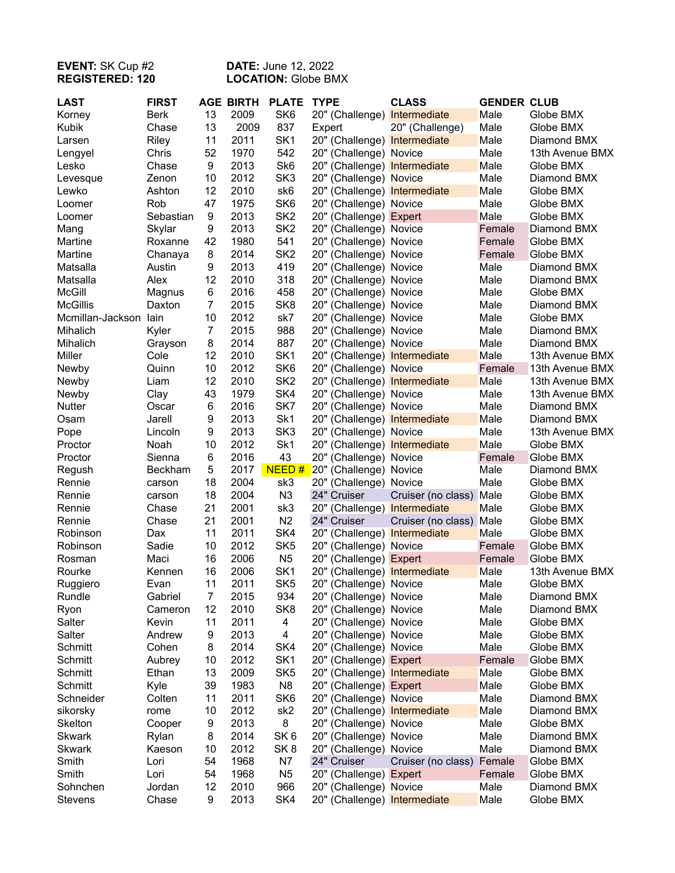## **EVENT:** SK Cup #2 **DATE:** June 12, 2022 **REGISTERED: 120 LOCATION:** Globe BMX

| <b>LAST</b>           | <b>FIRST</b> |                | <b>AGE BIRTH</b> | <b>PLATE</b>    | <b>TYPE</b>                  | <b>CLASS</b>       | <b>GENDER CLUB</b> |                 |
|-----------------------|--------------|----------------|------------------|-----------------|------------------------------|--------------------|--------------------|-----------------|
| Korney                | <b>Berk</b>  | 13             | 2009             | SK6             | 20" (Challenge) Intermediate |                    | Male               | Globe BMX       |
| Kubik                 | Chase        | 13             | 2009             | 837             | Expert                       | 20" (Challenge)    | Male               | Globe BMX       |
| Larsen                | Riley        | 11             | 2011             | SK <sub>1</sub> | 20" (Challenge) Intermediate |                    | Male               | Diamond BMX     |
| Lengyel               | Chris        | 52             | 1970             | 542             | 20" (Challenge) Novice       |                    | Male               | 13th Avenue BMX |
| Lesko                 | Chase        | 9              | 2013             | Sk <sub>6</sub> | 20" (Challenge) Intermediate |                    | Male               | Globe BMX       |
| Levesque              | Zenon        | 10             | 2012             | SK <sub>3</sub> | 20" (Challenge) Novice       |                    | Male               | Diamond BMX     |
| Lewko                 | Ashton       | 12             | 2010             | sk6             | 20" (Challenge) Intermediate |                    | Male               | Globe BMX       |
| Loomer                | Rob          | 47             | 1975             | SK <sub>6</sub> | 20" (Challenge) Novice       |                    | Male               | Globe BMX       |
| Loomer                | Sebastian    | 9              | 2013             | SK <sub>2</sub> | 20" (Challenge) Expert       |                    | Male               | Globe BMX       |
| Mang                  | Skylar       | 9              | 2013             | SK <sub>2</sub> | 20" (Challenge) Novice       |                    | Female             | Diamond BMX     |
| Martine               | Roxanne      | 42             | 1980             | 541             | 20" (Challenge) Novice       |                    | Female             | Globe BMX       |
| Martine               | Chanaya      | 8              | 2014             | SK <sub>2</sub> | 20" (Challenge) Novice       |                    | Female             | Globe BMX       |
| Matsalla              | Austin       | 9              | 2013             | 419             | 20" (Challenge) Novice       |                    | Male               | Diamond BMX     |
| Matsalla              | Alex         | 12             | 2010             | 318             | 20" (Challenge) Novice       |                    | Male               | Diamond BMX     |
| <b>McGill</b>         | Magnus       | 6              | 2016             | 458             | 20" (Challenge) Novice       |                    | Male               | Globe BMX       |
| <b>McGillis</b>       | Daxton       | $\overline{7}$ | 2015             | SK <sub>8</sub> | 20" (Challenge) Novice       |                    | Male               | Diamond BMX     |
| Mcmillan-Jackson lain |              | 10             | 2012             | sk7             | 20" (Challenge) Novice       |                    | Male               | Globe BMX       |
| Mihalich              | Kyler        | $\overline{7}$ | 2015             | 988             | 20" (Challenge) Novice       |                    | Male               | Diamond BMX     |
| Mihalich              | Grayson      | 8              | 2014             | 887             | 20" (Challenge) Novice       |                    | Male               | Diamond BMX     |
| Miller                | Cole         | 12             | 2010             | SK <sub>1</sub> | 20" (Challenge) Intermediate |                    | Male               | 13th Avenue BMX |
| Newby                 | Quinn        | 10             | 2012             | SK <sub>6</sub> | 20" (Challenge) Novice       |                    | Female             | 13th Avenue BMX |
| Newby                 | Liam         | 12             | 2010             | SK <sub>2</sub> | 20" (Challenge) Intermediate |                    | Male               | 13th Avenue BMX |
| Newby                 | Clay         | 43             | 1979             | SK4             | 20" (Challenge) Novice       |                    | Male               | 13th Avenue BMX |
| Nutter                | Oscar        | 6              | 2016             | SK7             | 20" (Challenge) Novice       |                    | Male               | Diamond BMX     |
| Osam                  | Jarell       | 9              | 2013             | Sk1             | 20" (Challenge) Intermediate |                    | Male               | Diamond BMX     |
| Pope                  | Lincoln      | 9              | 2013             | SK <sub>3</sub> | 20" (Challenge) Novice       |                    | Male               | 13th Avenue BMX |
| Proctor               | Noah         | 10             | 2012             | Sk1             | 20" (Challenge) Intermediate |                    | Male               | Globe BMX       |
| Proctor               | Sienna       | 6              | 2016             | 43              | 20" (Challenge) Novice       |                    | Female             | Globe BMX       |
| Regush                | Beckham      | 5              | 2017             | NEED#           | 20" (Challenge) Novice       |                    | Male               | Diamond BMX     |
| Rennie                | carson       | 18             | 2004             | sk3             | 20" (Challenge) Novice       |                    | Male               | Globe BMX       |
| Rennie                | carson       | 18             | 2004             | N <sub>3</sub>  | 24" Cruiser                  | Cruiser (no class) | Male               | Globe BMX       |
| Rennie                | Chase        | 21             | 2001             | sk3             | 20" (Challenge) Intermediate |                    | Male               | Globe BMX       |
| Rennie                | Chase        | 21             | 2001             | N <sub>2</sub>  | 24" Cruiser                  | Cruiser (no class) | Male               | Globe BMX       |
| Robinson              | Dax          | 11             | 2011             | SK4             | 20" (Challenge) Intermediate |                    | Male               | Globe BMX       |
| Robinson              | Sadie        | 10             | 2012             | SK <sub>5</sub> | 20" (Challenge) Novice       |                    | Female             | Globe BMX       |
| Rosman                | Maci         | 16             | 2006             | N <sub>5</sub>  | 20" (Challenge) Expert       |                    | Female             | Globe BMX       |
| Rourke                | Kennen       | 16             | 2006             | SK <sub>1</sub> | 20" (Challenge) Intermediate |                    | Male               | 13th Avenue BMX |
| Ruggiero              | Evan         | 11             | 2011             | SK <sub>5</sub> | 20" (Challenge) Novice       |                    | Male               | Globe BMX       |
| Rundle                | Gabriel      | $\overline{7}$ | 2015             | 934             | 20" (Challenge) Novice       |                    | Male               | Diamond BMX     |
| Ryon                  | Cameron      | 12             | 2010             | SK <sub>8</sub> | 20" (Challenge) Novice       |                    | Male               | Diamond BMX     |
| Salter                | Kevin        | 11             | 2011             | 4               | 20" (Challenge) Novice       |                    | Male               | Globe BMX       |
| Salter                | Andrew       | 9              | 2013             | 4               | 20" (Challenge) Novice       |                    | Male               | Globe BMX       |
| Schmitt               | Cohen        | 8              | 2014             | SK4             | 20" (Challenge) Novice       |                    | Male               | Globe BMX       |
| Schmitt               | Aubrey       | 10             | 2012             | SK <sub>1</sub> | 20" (Challenge) Expert       |                    | Female             | Globe BMX       |
| Schmitt               | Ethan        | 13             | 2009             | SK <sub>5</sub> | 20" (Challenge) Intermediate |                    | Male               | Globe BMX       |
| Schmitt               | Kyle         | 39             | 1983             | N <sub>8</sub>  | 20" (Challenge) Expert       |                    | Male               | Globe BMX       |
| Schneider             | Colten       | 11             | 2011             | SK <sub>6</sub> | 20" (Challenge) Novice       |                    | Male               | Diamond BMX     |
| sikorsky              | rome         | 10             | 2012             | sk <sub>2</sub> | 20" (Challenge) Intermediate |                    | Male               | Diamond BMX     |
| Skelton               | Cooper       | 9              | 2013             | 8               | 20" (Challenge) Novice       |                    | Male               | Globe BMX       |
| <b>Skwark</b>         | Rylan        | 8              | 2014             | SK <sub>6</sub> | 20" (Challenge) Novice       |                    | Male               | Diamond BMX     |
| <b>Skwark</b>         | Kaeson       | 10             | 2012             | SK <sub>8</sub> | 20" (Challenge) Novice       |                    | Male               | Diamond BMX     |
| Smith                 | Lori         | 54             | 1968             | N7              | 24" Cruiser                  | Cruiser (no class) | Female             | Globe BMX       |
| Smith                 | Lori         | 54             | 1968             | N <sub>5</sub>  | 20" (Challenge) Expert       |                    | Female             | Globe BMX       |
| Sohnchen              | Jordan       | 12             | 2010             | 966             | 20" (Challenge) Novice       |                    | Male               | Diamond BMX     |
| Stevens               | Chase        | 9              | 2013             | SK4             | 20" (Challenge) Intermediate |                    | Male               | Globe BMX       |